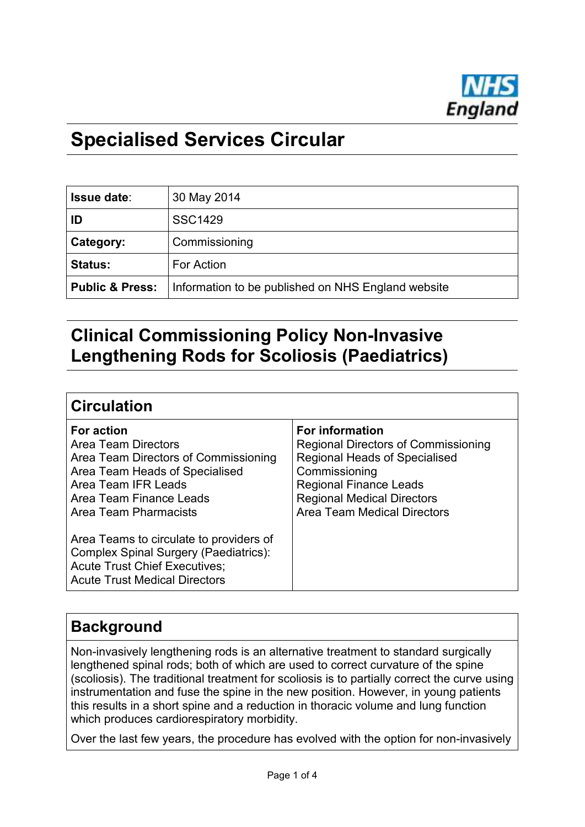

# **Specialised Services Circular**

| <b>Issue date:</b>         | 30 May 2014                                        |
|----------------------------|----------------------------------------------------|
| ID                         | <b>SSC1429</b>                                     |
| Category:                  | Commissioning                                      |
| <b>Status:</b>             | For Action                                         |
| <b>Public &amp; Press:</b> | Information to be published on NHS England website |

## **Clinical Commissioning Policy Non-Invasive Lengthening Rods for Scoliosis (Paediatrics)**

#### **Circulation**

| <b>For action</b>                                                                                                                                                | <b>For information</b>                     |
|------------------------------------------------------------------------------------------------------------------------------------------------------------------|--------------------------------------------|
| <b>Area Team Directors</b>                                                                                                                                       | <b>Regional Directors of Commissioning</b> |
| Area Team Directors of Commissioning                                                                                                                             | <b>Regional Heads of Specialised</b>       |
| Area Team Heads of Specialised                                                                                                                                   | Commissioning                              |
| Area Team IFR Leads                                                                                                                                              | <b>Regional Finance Leads</b>              |
| Area Team Finance Leads                                                                                                                                          | <b>Regional Medical Directors</b>          |
| Area Team Pharmacists                                                                                                                                            | <b>Area Team Medical Directors</b>         |
| Area Teams to circulate to providers of<br>Complex Spinal Surgery (Paediatrics):<br><b>Acute Trust Chief Executives;</b><br><b>Acute Trust Medical Directors</b> |                                            |

## **Background**

Non-invasively lengthening rods is an alternative treatment to standard surgically lengthened spinal rods; both of which are used to correct curvature of the spine (scoliosis). The traditional treatment for scoliosis is to partially correct the curve using instrumentation and fuse the spine in the new position. However, in young patients this results in a short spine and a reduction in thoracic volume and lung function which produces cardiorespiratory morbidity.

Over the last few years, the procedure has evolved with the option for non-invasively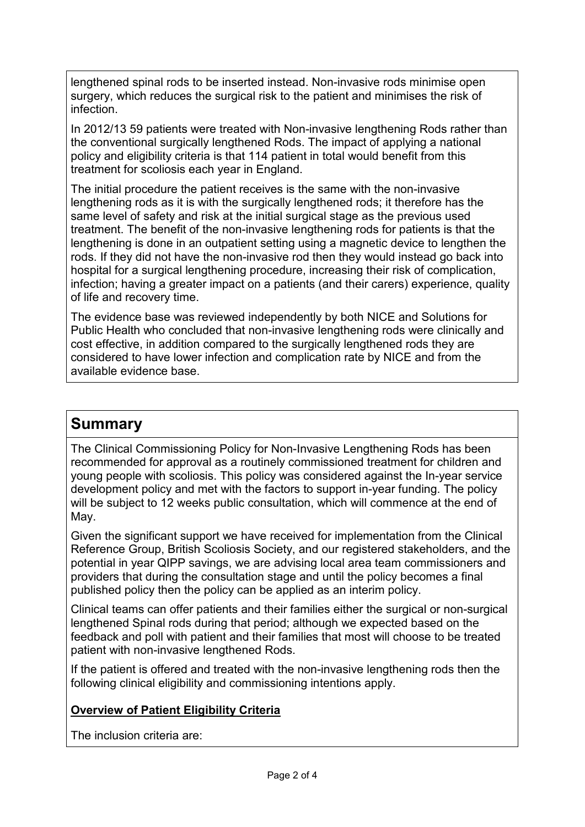lengthened spinal rods to be inserted instead. Non-invasive rods minimise open surgery, which reduces the surgical risk to the patient and minimises the risk of infection.

In 2012/13 59 patients were treated with Non-invasive lengthening Rods rather than the conventional surgically lengthened Rods. The impact of applying a national policy and eligibility criteria is that 114 patient in total would benefit from this treatment for scoliosis each year in England.

The initial procedure the patient receives is the same with the non-invasive lengthening rods as it is with the surgically lengthened rods; it therefore has the same level of safety and risk at the initial surgical stage as the previous used treatment. The benefit of the non-invasive lengthening rods for patients is that the lengthening is done in an outpatient setting using a magnetic device to lengthen the rods. If they did not have the non-invasive rod then they would instead go back into hospital for a surgical lengthening procedure, increasing their risk of complication, infection; having a greater impact on a patients (and their carers) experience, quality of life and recovery time.

The evidence base was reviewed independently by both NICE and Solutions for Public Health who concluded that non-invasive lengthening rods were clinically and cost effective, in addition compared to the surgically lengthened rods they are considered to have lower infection and complication rate by NICE and from the available evidence base.

### **Summary**

The Clinical Commissioning Policy for Non-Invasive Lengthening Rods has been recommended for approval as a routinely commissioned treatment for children and young people with scoliosis. This policy was considered against the In-year service development policy and met with the factors to support in-year funding. The policy will be subject to 12 weeks public consultation, which will commence at the end of May.

Given the significant support we have received for implementation from the Clinical Reference Group, British Scoliosis Society, and our registered stakeholders, and the potential in year QIPP savings, we are advising local area team commissioners and providers that during the consultation stage and until the policy becomes a final published policy then the policy can be applied as an interim policy.

Clinical teams can offer patients and their families either the surgical or non-surgical lengthened Spinal rods during that period; although we expected based on the feedback and poll with patient and their families that most will choose to be treated patient with non-invasive lengthened Rods.

If the patient is offered and treated with the non-invasive lengthening rods then the following clinical eligibility and commissioning intentions apply.

#### **Overview of Patient Eligibility Criteria**

The inclusion criteria are: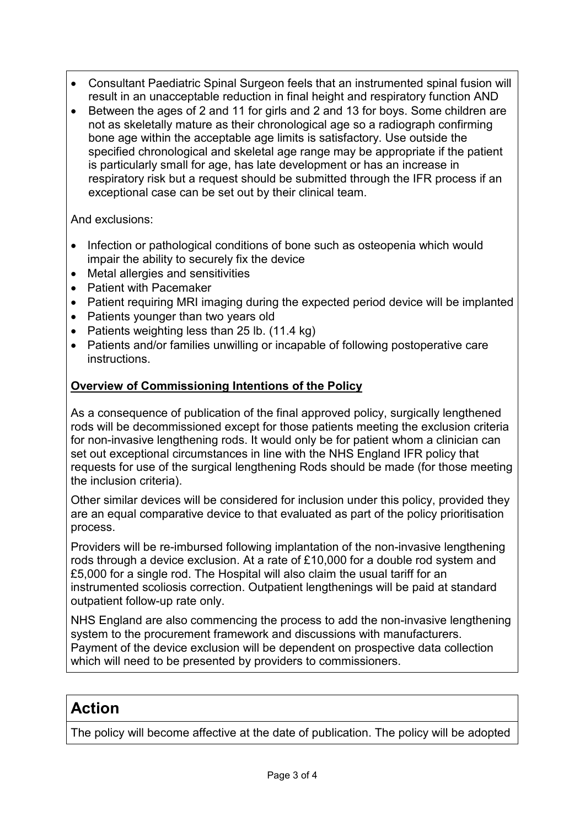- Consultant Paediatric Spinal Surgeon feels that an instrumented spinal fusion will result in an unacceptable reduction in final height and respiratory function AND
- Between the ages of 2 and 11 for girls and 2 and 13 for boys. Some children are not as skeletally mature as their chronological age so a radiograph confirming bone age within the acceptable age limits is satisfactory. Use outside the specified chronological and skeletal age range may be appropriate if the patient is particularly small for age, has late development or has an increase in respiratory risk but a request should be submitted through the IFR process if an exceptional case can be set out by their clinical team.

And exclusions:

- Infection or pathological conditions of bone such as osteopenia which would impair the ability to securely fix the device
- Metal allergies and sensitivities
- Patient with Pacemaker
- Patient requiring MRI imaging during the expected period device will be implanted
- Patients younger than two years old
- Patients weighting less than 25 lb. (11.4 kg)
- Patients and/or families unwilling or incapable of following postoperative care instructions.

#### **Overview of Commissioning Intentions of the Policy**

As a consequence of publication of the final approved policy, surgically lengthened rods will be decommissioned except for those patients meeting the exclusion criteria for non-invasive lengthening rods. It would only be for patient whom a clinician can set out exceptional circumstances in line with the NHS England IFR policy that requests for use of the surgical lengthening Rods should be made (for those meeting the inclusion criteria).

Other similar devices will be considered for inclusion under this policy, provided they are an equal comparative device to that evaluated as part of the policy prioritisation process.

Providers will be re-imbursed following implantation of the non-invasive lengthening rods through a device exclusion. At a rate of £10,000 for a double rod system and £5,000 for a single rod. The Hospital will also claim the usual tariff for an instrumented scoliosis correction. Outpatient lengthenings will be paid at standard outpatient follow-up rate only.

NHS England are also commencing the process to add the non-invasive lengthening system to the procurement framework and discussions with manufacturers. Payment of the device exclusion will be dependent on prospective data collection which will need to be presented by providers to commissioners.

### **Action**

The policy will become affective at the date of publication. The policy will be adopted